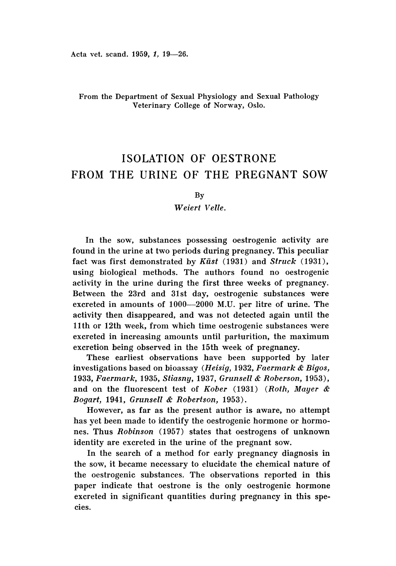## From the Department of Sexual Physiology and Sexual Pathology Veterinary College of Norway, Oslo.

# ISOLATION OF OESTRONE FROM THE URINE OF THE PREGNANT SOW

By

#### *Weiert Velie.*

In the sow, substances possessing oestrogenic activity are found in the urine at two periods during pregnancy. This peculiar fact was first demonstrated by *Kiist* (1931) and *Struck (1931) ,* using biological methods. The authors found no oestrogenic activity in the urine during the first three weeks of pregnancy. Between the 23rd and 31st day, oestrogenic substances were excreted in amounts of 1000-2000 M.U. per litre of urine. The activity then disappeared, and was not detected again until the 11th or 12th week, from which time oestrogenic substances were excreted in increasing amounts until parturition, the maximum excretion being observed in the 15th week of pregnancy.

These earliest observations have been supported by later investigations based on bioassay *(Heisig,* 1932, *Faermark* & *Bigos, 1933, Faermark,* 1935, *Stiasny,* 1937, *Grunsell* & *Roberson, 1953),* and on the fluorescent test of *Kober* (1931) *(Roth, Mayer* & *Bogart,* 1941, *Grunsell* & *Robertson, 1953).*

However, as far as the present author is aware, no attempt has yet been made to identify the oestrogenic hormone or hormones. Thus *Robinson* (1957) states that oestrogens of unknown identity are excreted in the urine of the pregnant sow.

In the search of a method for early pregnancy diagnosis in the sow, it became necessary to elucidate the chemical nature of the oestrogenic substances. The observations reported in this paper indicate that oestrone is the only oestrogenic hormone excreted in significant quantities during pregnancy in this species.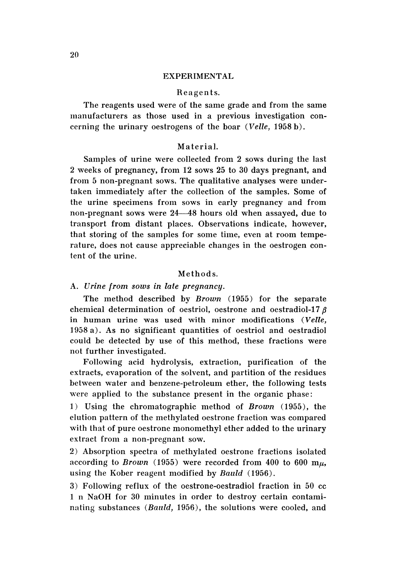#### EXPERIMENTAL

#### Reagen ts.

The reagents used were of the same grade and from the same manufacturers as those used in a previous investigation concerning the urinary oestrogens of the boar *(Velie,* 1958 b) .

## Material.

Samples of urine were collected from 2 sows during the last 2 weeks of pregnancy, from 12 sows 25 to 30 days pregnant, and from 5 non-pregnant sows. The qualitative analyses were undertaken immediately after the collection of the samples. Some of the urine specimens from sows in early pregnancy and from non-pregnant sows were 24--48 hours old when assayed, due to transport from distant places. Observations indicate, however, that storing of the samples for some time, even at room temperature, does not cause appreciable changes in the oestrogen content of the urine.

#### Methods.

## A. *Urine from sows in late pregnancy.*

The method described by *Brown* (1955) for the separate chemical determination of oestriol, oestrone and oestradiol-17 $\beta$ in human urine was used with minor modifications *(Velie,* 1958 a) . As no significant quantities of oestriol and oestradiol could be detected by use of this method, these fractions were not further investigated.

Following acid hydrolysis, extraction, purification of the extracts, evaporation of the solvent, and partition of the residues between water and benzene-petroleum ether, the following tests were applied to the substance present in the organic phase :

1) Using the chromatographic method of *Brown* (1955), the elution pattern of the methylated oestrone fraction was compared with that of pure oestrone monomethyl ether added to the urinary extract from a non-pregnant sow.

2) Absorption spectra of methylated oestrone fractions isolated according to *Brown* (1955) were recorded from 400 to 600  $m<sub>\mu</sub>$ , using the Kober reagent modified by *Bauld* (1956) .

3) Following reflux of the oestrone-oestradiol fraction in 50 cc 1 n NaOH for 30 minutes in order to destroy certain contaminating substances *(Bould,* 1956), the solutions were cooled, and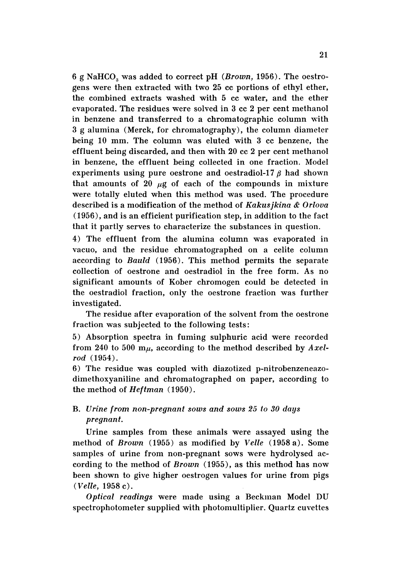6 g NaHCO<sub>s</sub> was added to correct pH (Brown, 1956). The oestrogens were then extracted with two 25 cc portions of ethyl ether. the combined extracts washed with 5 cc water, and the ether evaporated. The residues were solved in 3 cc 2 per cent methanol in benzene and transferred to a chromatographic column with 3 g alumina (Merck, for chromatography), the column diameter being 10 mm. The column was eluted with 3 cc benzene, the effluent being discarded, and then with 20 cc 2 per cent methanol in benzene, the effluent being collected in one fraction. Model experiments using pure oestrone and oestradiol-17 $\beta$  had shown that amounts of 20  $\mu$ g of each of the compounds in mixture were totally eluted when this method was used. The procedure described is a modification of the method of *Kakusjkina* & *Orlova* (1956), and is an efficient purification step, in addition to the fact that it partly serves to characterize the substances in question.

4) The effluent from the alumina column was evaporated in vacuo, and the residue chromatographed on a celite column according to *Bauld* (1956). This method permits the separate collection of oestrone and oestradiol in the free form. As no significant amounts of Kober chromogen could be detected in the oestradiol fraction, only the oestrone fraction was further investigated.

The residue after evaporation of the solvent from the oestrone fraction was subjected to the following tests:

5) Absorption spectra in fuming sulphuric acid were recorded from 240 to 500 mu, according to the method described by *Axelrod (1954) .*

6) The residue was coupled with diazotized p-nitrobenzeneazodimethoxyaniline and chromatographed on paper. according to the method of *Heftman* (1950).

## B. *Urine from non-pregnant sows and sows* 25 *to 30 days pregnant.*

Urine samples from these animals were assayed using the method of *Brown* (1955) as modified by *Velle* (1958 a). Some samples of urine from non-pregnant sows were hydrolysed according to the method of *Brown* (1955), as this method has now been shown to give higher oestrogen values for urine from pigs *(Velle,* 1958 c) .

*Optical readings* were made using a Beckman Model DU spectrophotometer supplied with photomultiplier. Quartz cuvettes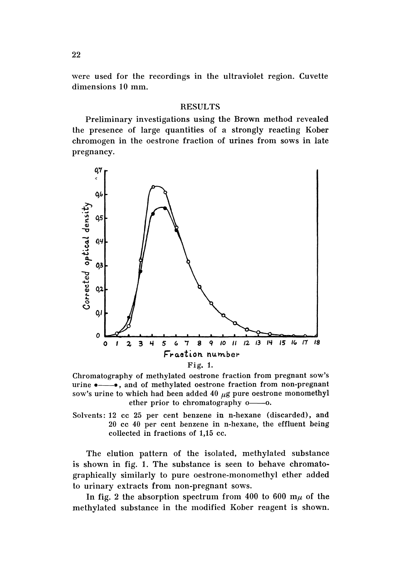were used for the recordings in the ultraviolet region. Cuvette dimensions 10 mm.

#### **RESULTS**

Preliminary investigations using the Brown method revealed the presence of large quantities of a strongly reacting Kober chromogen in the oestrone fraction of urines from sows in late pregnancy.



Chromatography of methylated oestrone fraction from pregnant sow's urine  $\bullet$ — $\bullet$ , and of methylated oestrone fraction from non-pregnant sow's urine to which had been added 40  $\mu$ g pure oestrone monomethyl ether prior to chromatography o-o.

Solvents: 12 cc 25 per cent benzene in n-hexane (discarded), and 20 cc 40 per cent benzene in n-hexane, the effluent being collected in fractions of 1,15 cc.

The elution pattern of the isolated, methylated substance is shown in fig. 1. The substance is seen to behave chromatographically similarly to pure oestrone-monomethyl ether added to urinary extracts from non-pregnant sows.

In fig. 2 the absorption spectrum from 400 to 600  $m<sub>\mu</sub>$  of the methylated substance in the modified Kober reagent is shown.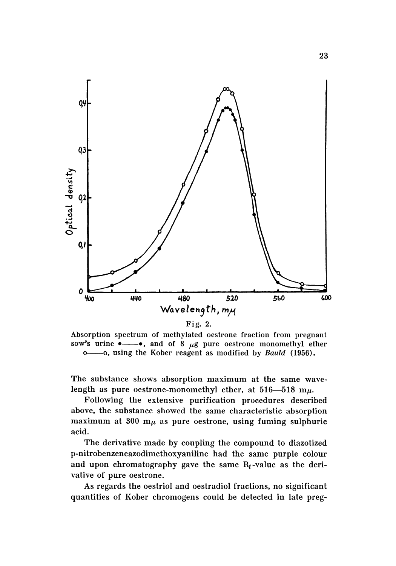

Absorption spectrum of methylated oestrone fraction from pregnant sow's urine  $\bullet$ — $\bullet$ , and of 8  $\mu$ g pure oestrone monomethyl ether o--- o, using the Kober reagent as modified by *Bauld* (1956).

The substance shows absorption maximum at the same wavelength as pure oestrone-monomethyl ether, at 516-518 m $\mu$ .

Following the extensive purification procedures described above, the substance showed the same characteristic absorption maximum at 300  $m<sub>\mu</sub>$  as pure oestrone, using fuming sulphuric acid.

The derivative made by coupling the compound to diazotized p-nitrobenzeneazodimethoxyaniline had the same purple colour and upon chromatography gave the same Rr-value as the derivative of pure oestrone.

As regards the oestriol and oestradiol fractions, no significant quantities of Kober chromogens could be detected in late preg-

23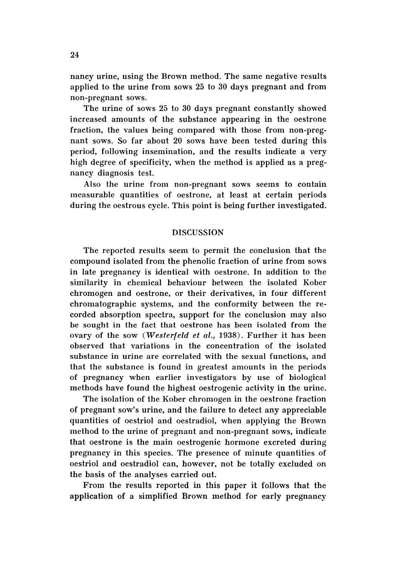nancy urine, using the Brown method. The same negative results applied to the urine from sows 25 to 30 days pregnant and from non-pregnant sows.

The urine of sows 25 to 30 days pregnant constantly showed increased amounts of the substance appearing in the oestrone fraction, the values being compared with those from non-pregnant sows. So far about 20 sows have been tested during this period, following insemination, and the results indicate a very high degree of specificity, when the method is applied as a pregnancy diagnosis test.

Also the urine from non-pregnant sows seems to contain measurable quantities of oestrone, at least at certain periods during the oestrous cycle. This point is being further investigated.

## **DISCUSSION**

The reported results seem to permit the conclusion that the compound isolated from the phenolic fraction of urine from sows in late pregnancy is identical with oestrone. In addition to the similarity in chemical behaviour between the isolated Kober chromogen and oestrone, or their derivatives, in four different chromatographic systems, and the conformity between the recorded absorption spectra, support for the conclusion may also be sought in the fact that oestrone has been isolated from the ovary of the sow *(Westerfeld et al.,* 1938). Further it has been observed that variations in the concentration of the isolated substance in urine are correlated with the sexual functions, and that the substance is found in greatest amounts in the periods of pregnancy when earlier investigators by use of biological methods have found the highest oestrogenic activity in the urine.

The isolation of the Kober chromogen in the oestrone fraction of pregnant sow's urine, and the failure to detect any appreciable quantities of oestriol and oestradiol, when applying the Brown method to the urine of pregnant and non-pregnant sows, indicate that oestrone is the main oestrogenic hormone excreted during pregnancy in this species. The presence of minute quantities of oestriol and oestradiol can, however, not be totally excluded on the basis of the analyses carried out.

From the results reported in this paper it follows that the application of a simplified Brown method for early pregnancy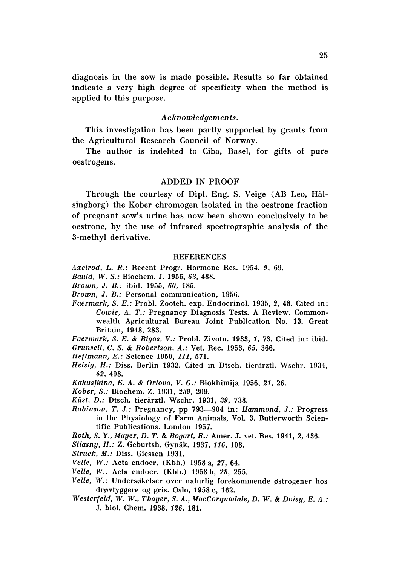diagnosis in the sow is made possible. Results so far obtained indicate a very high degree of specificity when the method is applied to this purpose.

## *Acknowledgements.*

This investigation has been partly supported by grants from the Agricultural Research Council of Norway.

The author is indebted to Ciba, Basel, for gifts of pure oestrogens.

## ADDED IN PROOF

Through the courtesy of Dipl. Eng. S. Veige (AB Leo, Hälsingborg) the Kober chromogen isolated in the oestrone fraction of pregnant sow's urine has now been shown conclusively to be oestrone, by the use of infrared spectrographic analysis of the 3-methyl derivative.

#### **REFERENCES**

*Axelrod,* L. *R.:* Recent Progr. Hormone Res. 1954, 9, 69.

- *Bauld, W . S.:* Biochem. J. 1956, 63, 488.
- *Brown,* J. *B.:* ibid. 1955, *60, 185.*
- *Brown,* J. *B.:* Personal communication, 1956.
- *Faermark, S. E.: Probl. Zooteh. exp. Endocrinol. 1935, 2, 48. Cited in: Cowie,* A. *T.:* Pregnancy Diagnosis Tests. A Review. Commonwealth Agricultural Bureau Joint Publication No. 13. Great Britain, 1948, 283.
- Faermark, S. E. & Bigos, V.: Probl. Zivotn. 1933, 1, 73. Cited in: ibid.

*Grunsell,* C. S. & *Robertson, A.:* Vet. Rec. 1953, 65, 366.

- Heftmann, E.: Science 1950, 111, 571.
- *Heisig, H.: Diss. Berlin 1932. Cited in Dtsch. tierärztl. Wschr. 1934,* 42, 408.
- Kakusjkina, E. A. & *Orlova , V.* G.: Biokhimija 1956, 21, 26.
- *Kober, S.:* Biochem. Z. 1931, 239, 209.
- *Kiist, D.:* Dtsch. tierarztl. Wschr. 1931, 39, 738.
- *Robinson, T.* J.: Pregnancy, pp 793-904 in: *Hammond,* J.: Progress in the Physiology of Farm Animals, Vol. 3. Butterworth Scientific Publications. London 1957.
- *Roth,* S. *Y., Mayer,* D. *T.* & *Bogart, R. :* Amer. J. vet. Res. 1941, 2, 436.

*Stiasny, H. :* Z. Geburtsh. Gynak. 1937, 116, 108.

- *Struck, M.:* Diss. Giessen 1931.
- *Velle, W.:* Acta endocr. (Kbh.) 1958 a, 27, 64.
- *Velle, W.: Acta endocr. (Kbh.) 1958 b, 28, 255.*
- *Velle, W.:* Undersøkelser over naturlig forekommende østrogener hos drevtyggere og gris. Oslo, 1958 c, 162.
- *Westerfeld, W. W., Thayer,* S. *A., MacCorquodale, D. W.* & *Doisy, E. A.:* J. bioI. Chern. 1938, 126, 181.